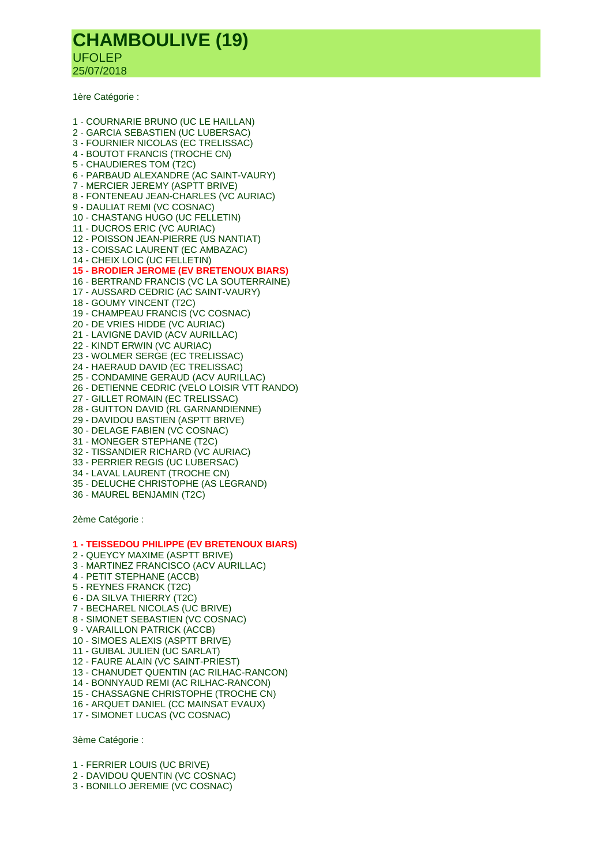## **CHAMBOULIVE (19)** UFOLEP 25/07/2018

1ère Catégorie :

1 - COURNARIE BRUNO (UC LE HAILLAN) 2 - GARCIA SEBASTIEN (UC LUBERSAC) 3 - FOURNIER NICOLAS (EC TRELISSAC) 4 - BOUTOT FRANCIS (TROCHE CN) 5 - CHAUDIERES TOM (T2C) 6 - PARBAUD ALEXANDRE (AC SAINT-VAURY) 7 - MERCIER JEREMY (ASPTT BRIVE) 8 - FONTENEAU JEAN-CHARLES (VC AURIAC) 9 - DAULIAT REMI (VC COSNAC) 10 - CHASTANG HUGO (UC FELLETIN) 11 - DUCROS ERIC (VC AURIAC) 12 - POISSON JEAN-PIERRE (US NANTIAT) 13 - COISSAC LAURENT (EC AMBAZAC) 14 - CHEIX LOIC (UC FELLETIN) **15 - BRODIER JEROME (EV BRETENOUX BIARS)** 16 - BERTRAND FRANCIS (VC LA SOUTERRAINE) 17 - AUSSARD CEDRIC (AC SAINT-VAURY) 18 - GOUMY VINCENT (T2C) 19 - CHAMPEAU FRANCIS (VC COSNAC) 20 - DE VRIES HIDDE (VC AURIAC) 21 - LAVIGNE DAVID (ACV AURILLAC) 22 - KINDT ERWIN (VC AURIAC) 23 - WOLMER SERGE (EC TRELISSAC) 24 - HAERAUD DAVID (EC TRELISSAC) 25 - CONDAMINE GERAUD (ACV AURILLAC) 26 - DETIENNE CEDRIC (VELO LOISIR VTT RANDO) 27 - GILLET ROMAIN (EC TRELISSAC) 28 - GUITTON DAVID (RL GARNANDIENNE) 29 - DAVIDOU BASTIEN (ASPTT BRIVE) 30 - DELAGE FABIEN (VC COSNAC) 31 - MONEGER STEPHANE (T2C) 32 - TISSANDIER RICHARD (VC AURIAC) 33 - PERRIER REGIS (UC LUBERSAC) 34 - LAVAL LAURENT (TROCHE CN) 35 - DELUCHE CHRISTOPHE (AS LEGRAND) 36 - MAUREL BENJAMIN (T2C)

2ème Catégorie :

## **1 - TEISSEDOU PHILIPPE (EV BRETENOUX BIARS)**

- 2 QUEYCY MAXIME (ASPTT BRIVE)
- 3 MARTINEZ FRANCISCO (ACV AURILLAC)
- 4 PETIT STEPHANE (ACCB)
- 5 REYNES FRANCK (T2C)
- 6 DA SILVA THIERRY (T2C)
- 7 BECHAREL NICOLAS (UC BRIVE)
- 8 SIMONET SEBASTIEN (VC COSNAC)
- 9 VARAILLON PATRICK (ACCB)
- 10 SIMOES ALEXIS (ASPTT BRIVE)
- 11 GUIBAL JULIEN (UC SARLAT)
- 12 FAURE ALAIN (VC SAINT-PRIEST)
- 13 CHANUDET QUENTIN (AC RILHAC-RANCON)
- 14 BONNYAUD REMI (AC RILHAC-RANCON)
- 15 CHASSAGNE CHRISTOPHE (TROCHE CN)
- 16 ARQUET DANIEL (CC MAINSAT EVAUX)
- 17 SIMONET LUCAS (VC COSNAC)

3ème Catégorie :

- 1 FERRIER LOUIS (UC BRIVE)
- 2 DAVIDOU QUENTIN (VC COSNAC)
- 3 BONILLO JEREMIE (VC COSNAC)